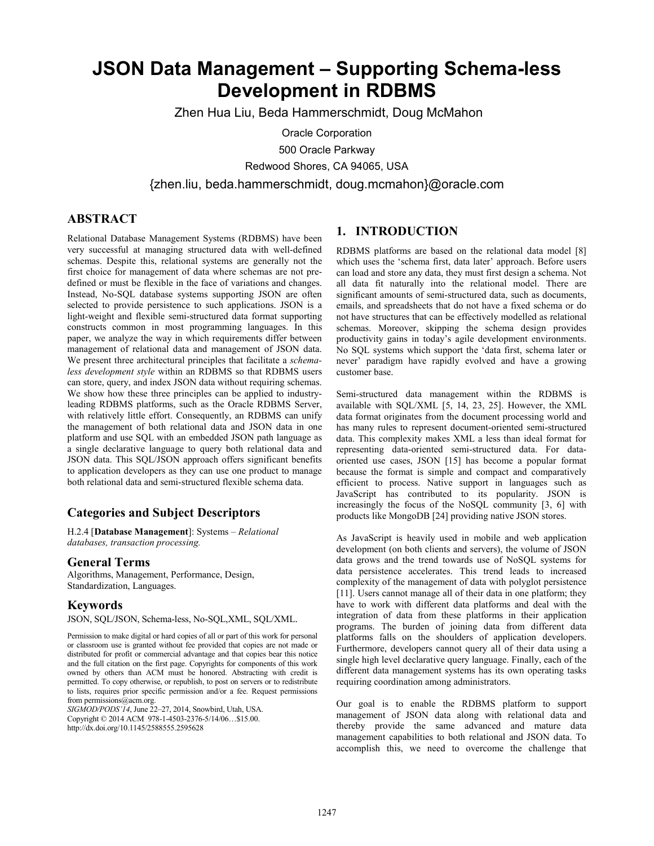# **JSON Data Management – Supporting Schema-less Development in RDBMS**

Zhen Hua Liu, Beda Hammerschmidt, Doug McMahon

Oracle Corporation

500 Oracle Parkway

Redwood Shores, CA 94065, USA

{zhen.liu, beda.hammerschmidt, doug.mcmahon}@oracle.com

# **ABSTRACT**

Relational Database Management Systems (RDBMS) have been very successful at managing structured data with well-defined schemas. Despite this, relational systems are generally not the first choice for management of data where schemas are not predefined or must be flexible in the face of variations and changes. Instead, No-SQL database systems supporting JSON are often selected to provide persistence to such applications. JSON is a light-weight and flexible semi-structured data format supporting constructs common in most programming languages. In this paper, we analyze the way in which requirements differ between management of relational data and management of JSON data. We present three architectural principles that facilitate a *schemaless development style* within an RDBMS so that RDBMS users can store, query, and index JSON data without requiring schemas. We show how these three principles can be applied to industryleading RDBMS platforms, such as the Oracle RDBMS Server, with relatively little effort. Consequently, an RDBMS can unify the management of both relational data and JSON data in one platform and use SQL with an embedded JSON path language as a single declarative language to query both relational data and JSON data. This SQL/JSON approach offers significant benefits to application developers as they can use one product to manage both relational data and semi-structured flexible schema data.

## **Categories and Subject Descriptors**

H.2.4 [**Database Management**]: Systems – *Relational databases, transaction processing.* 

### **General Terms**

Algorithms, Management, Performance, Design, Standardization, Languages.

## **Keywords**

JSON, SQL/JSON, Schema-less, No-SQL,XML, SQL/XML.

Permission to make digital or hard copies of all or part of this work for personal or classroom use is granted without fee provided that copies are not made or distributed for profit or commercial advantage and that copies bear this notice and the full citation on the first page. Copyrights for components of this work owned by others than ACM must be honored. Abstracting with credit is permitted. To copy otherwise, or republish, to post on servers or to redistribute to lists, requires prior specific permission and/or a fee. Request permissions from permissions@acm.org.

*SIGMOD/PODS'14*, June 22–27, 2014, Snowbird, Utah, USA. Copyright © 2014 ACM 978-1-4503-2376-5/14/06…\$15.00. http://dx.doi.org/10.1145/2588555.2595628

# **1. INTRODUCTION**

RDBMS platforms are based on the relational data model [8] which uses the 'schema first, data later' approach. Before users can load and store any data, they must first design a schema. Not all data fit naturally into the relational model. There are significant amounts of semi-structured data, such as documents, emails, and spreadsheets that do not have a fixed schema or do not have structures that can be effectively modelled as relational schemas. Moreover, skipping the schema design provides productivity gains in today's agile development environments. No SQL systems which support the 'data first, schema later or never' paradigm have rapidly evolved and have a growing customer base.

Semi-structured data management within the RDBMS is available with SQL/XML [5, 14, 23, 25]. However, the XML data format originates from the document processing world and has many rules to represent document-oriented semi-structured data. This complexity makes XML a less than ideal format for representing data-oriented semi-structured data. For dataoriented use cases, JSON [15] has become a popular format because the format is simple and compact and comparatively efficient to process. Native support in languages such as JavaScript has contributed to its popularity. JSON is increasingly the focus of the NoSQL community [3, 6] with products like MongoDB [24] providing native JSON stores.

As JavaScript is heavily used in mobile and web application development (on both clients and servers), the volume of JSON data grows and the trend towards use of NoSQL systems for data persistence accelerates. This trend leads to increased complexity of the management of data with polyglot persistence [11]. Users cannot manage all of their data in one platform; they have to work with different data platforms and deal with the integration of data from these platforms in their application programs. The burden of joining data from different data platforms falls on the shoulders of application developers. Furthermore, developers cannot query all of their data using a single high level declarative query language. Finally, each of the different data management systems has its own operating tasks requiring coordination among administrators.

Our goal is to enable the RDBMS platform to support management of JSON data along with relational data and thereby provide the same advanced and mature data management capabilities to both relational and JSON data. To accomplish this, we need to overcome the challenge that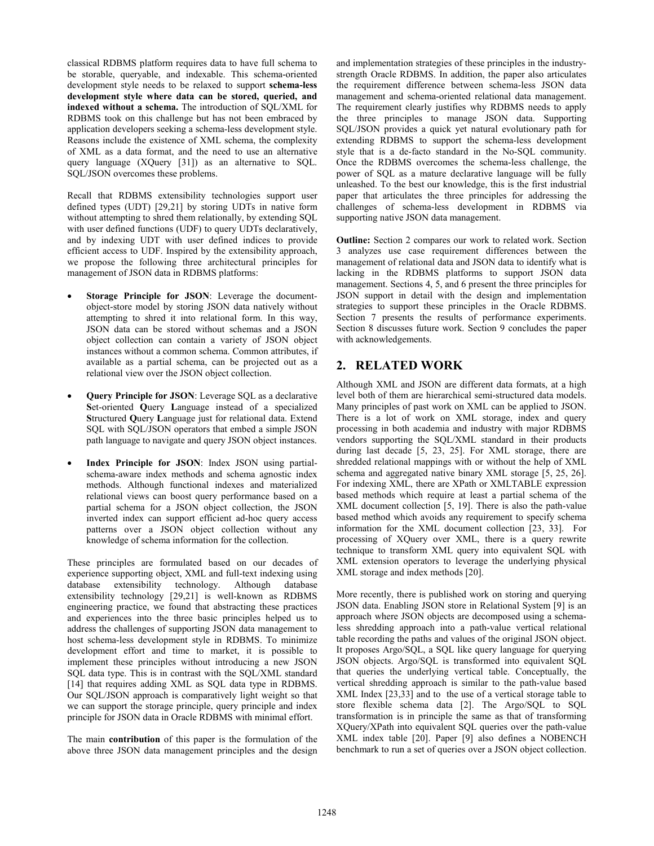classical RDBMS platform requires data to have full schema to be storable, queryable, and indexable. This schema-oriented development style needs to be relaxed to support **schema-less development style where data can be stored, queried, and indexed without a schema.** The introduction of SQL/XML for RDBMS took on this challenge but has not been embraced by application developers seeking a schema-less development style. Reasons include the existence of XML schema, the complexity of XML as a data format, and the need to use an alternative query language (XQuery [31]) as an alternative to SQL. SQL/JSON overcomes these problems.

Recall that RDBMS extensibility technologies support user defined types (UDT) [29,21] by storing UDTs in native form without attempting to shred them relationally, by extending SQL with user defined functions (UDF) to query UDTs declaratively, and by indexing UDT with user defined indices to provide efficient access to UDF. Inspired by the extensibility approach, we propose the following three architectural principles for management of JSON data in RDBMS platforms:

- **Storage Principle for JSON:** Leverage the documentobject-store model by storing JSON data natively without attempting to shred it into relational form. In this way, JSON data can be stored without schemas and a JSON object collection can contain a variety of JSON object instances without a common schema. Common attributes, if available as a partial schema, can be projected out as a relational view over the JSON object collection.
- **Query Principle for JSON**: Leverage SQL as a declarative **S**et-oriented **Q**uery **L**anguage instead of a specialized **S**tructured **Q**uery **L**anguage just for relational data. Extend SQL with SQL/JSON operators that embed a simple JSON path language to navigate and query JSON object instances.
- **Index Principle for JSON**: Index JSON using partialschema-aware index methods and schema agnostic index methods. Although functional indexes and materialized relational views can boost query performance based on a partial schema for a JSON object collection, the JSON inverted index can support efficient ad-hoc query access patterns over a JSON object collection without any knowledge of schema information for the collection.

These principles are formulated based on our decades of experience supporting object, XML and full-text indexing using database extensibility technology. Although database extensibility technology [29,21] is well-known as RDBMS engineering practice, we found that abstracting these practices and experiences into the three basic principles helped us to address the challenges of supporting JSON data management to host schema-less development style in RDBMS. To minimize development effort and time to market, it is possible to implement these principles without introducing a new JSON SQL data type. This is in contrast with the SQL/XML standard [14] that requires adding XML as SQL data type in RDBMS. Our SQL/JSON approach is comparatively light weight so that we can support the storage principle, query principle and index principle for JSON data in Oracle RDBMS with minimal effort.

The main **contribution** of this paper is the formulation of the above three JSON data management principles and the design

and implementation strategies of these principles in the industrystrength Oracle RDBMS. In addition, the paper also articulates the requirement difference between schema-less JSON data management and schema-oriented relational data management. The requirement clearly justifies why RDBMS needs to apply the three principles to manage JSON data. Supporting SQL/JSON provides a quick yet natural evolutionary path for extending RDBMS to support the schema-less development style that is a de-facto standard in the No-SQL community. Once the RDBMS overcomes the schema-less challenge, the power of SQL as a mature declarative language will be fully unleashed. To the best our knowledge, this is the first industrial paper that articulates the three principles for addressing the challenges of schema-less development in RDBMS via supporting native JSON data management.

**Outline:** Section 2 compares our work to related work. Section 3 analyzes use case requirement differences between the management of relational data and JSON data to identify what is lacking in the RDBMS platforms to support JSON data management. Sections 4, 5, and 6 present the three principles for JSON support in detail with the design and implementation strategies to support these principles in the Oracle RDBMS. Section 7 presents the results of performance experiments. Section 8 discusses future work. Section 9 concludes the paper with acknowledgements.

# **2. RELATED WORK**

Although XML and JSON are different data formats, at a high level both of them are hierarchical semi-structured data models. Many principles of past work on XML can be applied to JSON. There is a lot of work on XML storage, index and query processing in both academia and industry with major RDBMS vendors supporting the SQL/XML standard in their products during last decade [5, 23, 25]. For XML storage, there are shredded relational mappings with or without the help of XML schema and aggregated native binary XML storage [5, 25, 26]. For indexing XML, there are XPath or XMLTABLE expression based methods which require at least a partial schema of the XML document collection [5, 19]. There is also the path-value based method which avoids any requirement to specify schema information for the XML document collection [23, 33]. For processing of XQuery over XML, there is a query rewrite technique to transform XML query into equivalent SQL with XML extension operators to leverage the underlying physical XML storage and index methods [20].

More recently, there is published work on storing and querying JSON data. Enabling JSON store in Relational System [9] is an approach where JSON objects are decomposed using a schemaless shredding approach into a path-value vertical relational table recording the paths and values of the original JSON object. It proposes Argo/SQL, a SQL like query language for querying JSON objects. Argo/SQL is transformed into equivalent SQL that queries the underlying vertical table. Conceptually, the vertical shredding approach is similar to the path-value based XML Index [23,33] and to the use of a vertical storage table to store flexible schema data [2]. The Argo/SQL to SQL transformation is in principle the same as that of transforming XQuery/XPath into equivalent SQL queries over the path-value XML index table [20]. Paper [9] also defines a NOBENCH benchmark to run a set of queries over a JSON object collection.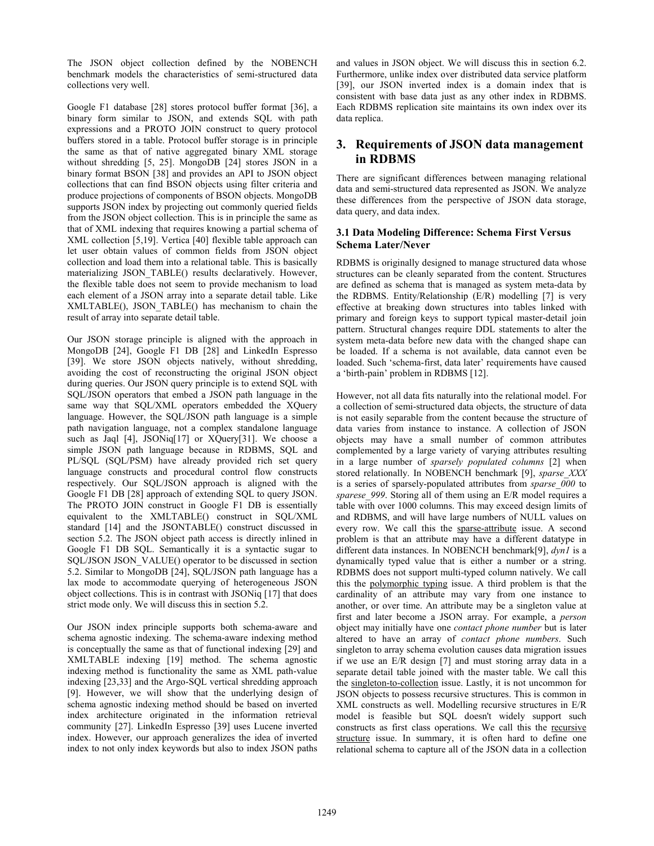The JSON object collection defined by the NOBENCH benchmark models the characteristics of semi-structured data collections very well.

Google F1 database [28] stores protocol buffer format [36], a binary form similar to JSON, and extends SQL with path expressions and a PROTO JOIN construct to query protocol buffers stored in a table. Protocol buffer storage is in principle the same as that of native aggregated binary XML storage without shredding [5, 25]. MongoDB [24] stores JSON in a binary format BSON [38] and provides an API to JSON object collections that can find BSON objects using filter criteria and produce projections of components of BSON objects. MongoDB supports JSON index by projecting out commonly queried fields from the JSON object collection. This is in principle the same as that of XML indexing that requires knowing a partial schema of XML collection [5,19]. Vertica [40] flexible table approach can let user obtain values of common fields from JSON object collection and load them into a relational table. This is basically materializing JSON\_TABLE() results declaratively. However, the flexible table does not seem to provide mechanism to load each element of a JSON array into a separate detail table. Like XMLTABLE(), JSON\_TABLE() has mechanism to chain the result of array into separate detail table.

Our JSON storage principle is aligned with the approach in MongoDB [24], Google F1 DB [28] and LinkedIn Espresso [39]. We store JSON objects natively, without shredding, avoiding the cost of reconstructing the original JSON object during queries. Our JSON query principle is to extend SQL with SQL/JSON operators that embed a JSON path language in the same way that SQL/XML operators embedded the XQuery language. However, the SQL/JSON path language is a simple path navigation language, not a complex standalone language such as Jaql [4], JSONiq[17] or XQuery[31]. We choose a simple JSON path language because in RDBMS, SQL and PL/SQL (SQL/PSM) have already provided rich set query language constructs and procedural control flow constructs respectively. Our SQL/JSON approach is aligned with the Google F1 DB [28] approach of extending SQL to query JSON. The PROTO JOIN construct in Google F1 DB is essentially equivalent to the XMLTABLE() construct in SQL/XML standard [14] and the JSONTABLE() construct discussed in section 5.2. The JSON object path access is directly inlined in Google F1 DB SQL. Semantically it is a syntactic sugar to SQL/JSON JSON\_VALUE() operator to be discussed in section 5.2. Similar to MongoDB [24], SQL/JSON path language has a lax mode to accommodate querying of heterogeneous JSON object collections. This is in contrast with JSONiq [17] that does strict mode only. We will discuss this in section 5.2.

Our JSON index principle supports both schema-aware and schema agnostic indexing. The schema-aware indexing method is conceptually the same as that of functional indexing [29] and XMLTABLE indexing [19] method. The schema agnostic indexing method is functionality the same as XML path-value indexing [23,33] and the Argo-SQL vertical shredding approach [9]. However, we will show that the underlying design of schema agnostic indexing method should be based on inverted index architecture originated in the information retrieval community [27]. LinkedIn Espresso [39] uses Lucene inverted index. However, our approach generalizes the idea of inverted index to not only index keywords but also to index JSON paths and values in JSON object. We will discuss this in section 6.2. Furthermore, unlike index over distributed data service platform [39], our JSON inverted index is a domain index that is consistent with base data just as any other index in RDBMS. Each RDBMS replication site maintains its own index over its data replica.

# **3. Requirements of JSON data management in RDBMS**

There are significant differences between managing relational data and semi-structured data represented as JSON. We analyze these differences from the perspective of JSON data storage, data query, and data index.

#### **3.1 Data Modeling Difference: Schema First Versus Schema Later/Never**

RDBMS is originally designed to manage structured data whose structures can be cleanly separated from the content. Structures are defined as schema that is managed as system meta-data by the RDBMS. Entity/Relationship (E/R) modelling [7] is very effective at breaking down structures into tables linked with primary and foreign keys to support typical master-detail join pattern. Structural changes require DDL statements to alter the system meta-data before new data with the changed shape can be loaded. If a schema is not available, data cannot even be loaded. Such 'schema-first, data later' requirements have caused a 'birth-pain' problem in RDBMS [12].

However, not all data fits naturally into the relational model. For a collection of semi-structured data objects, the structure of data is not easily separable from the content because the structure of data varies from instance to instance. A collection of JSON objects may have a small number of common attributes complemented by a large variety of varying attributes resulting in a large number of *sparsely populated columns* [2] when stored relationally. In NOBENCH benchmark [9], *sparse\_XXX* is a series of sparsely-populated attributes from *sparse\_000* to *sparese\_999*. Storing all of them using an E/R model requires a table with over 1000 columns. This may exceed design limits of and RDBMS, and will have large numbers of NULL values on every row. We call this the sparse-attribute issue. A second problem is that an attribute may have a different datatype in different data instances. In NOBENCH benchmark[9], *dyn1* is a dynamically typed value that is either a number or a string. RDBMS does not support multi-typed column natively. We call this the polymorphic typing issue. A third problem is that the cardinality of an attribute may vary from one instance to another, or over time. An attribute may be a singleton value at first and later become a JSON array. For example, a *person* object may initially have one *contact phone number* but is later altered to have an array of *contact phone numbers*. Such singleton to array schema evolution causes data migration issues if we use an E/R design [7] and must storing array data in a separate detail table joined with the master table. We call this the singleton-to-collection issue. Lastly, it is not uncommon for JSON objects to possess recursive structures. This is common in XML constructs as well. Modelling recursive structures in E/R model is feasible but SQL doesn't widely support such constructs as first class operations. We call this the recursive structure issue. In summary, it is often hard to define one relational schema to capture all of the JSON data in a collection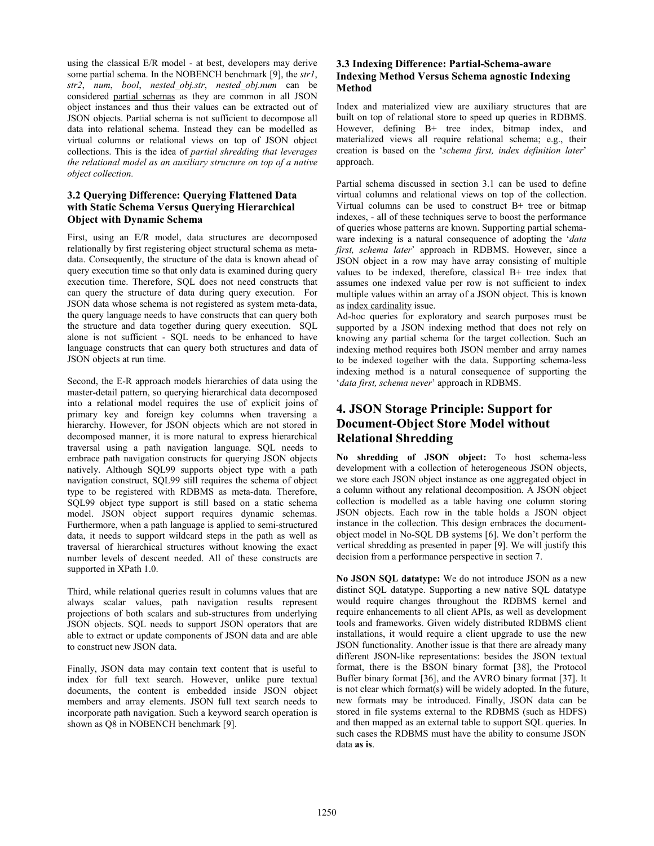using the classical E/R model - at best, developers may derive some partial schema. In the NOBENCH benchmark [9], the *str1*, *str2*, *num*, *bool*, *nested\_obj.str*, *nested\_obj.num* can be considered partial schemas as they are common in all JSON object instances and thus their values can be extracted out of JSON objects. Partial schema is not sufficient to decompose all data into relational schema. Instead they can be modelled as virtual columns or relational views on top of JSON object collections. This is the idea of *partial shredding that leverages the relational model as an auxiliary structure on top of a native object collection.*

### **3.2 Querying Difference: Querying Flattened Data with Static Schema Versus Querying Hierarchical Object with Dynamic Schema**

First, using an E/R model, data structures are decomposed relationally by first registering object structural schema as metadata. Consequently, the structure of the data is known ahead of query execution time so that only data is examined during query execution time. Therefore, SQL does not need constructs that can query the structure of data during query execution. For JSON data whose schema is not registered as system meta-data, the query language needs to have constructs that can query both the structure and data together during query execution. SQL alone is not sufficient - SQL needs to be enhanced to have language constructs that can query both structures and data of JSON objects at run time.

Second, the E-R approach models hierarchies of data using the master-detail pattern, so querying hierarchical data decomposed into a relational model requires the use of explicit joins of primary key and foreign key columns when traversing a hierarchy. However, for JSON objects which are not stored in decomposed manner, it is more natural to express hierarchical traversal using a path navigation language. SQL needs to embrace path navigation constructs for querying JSON objects natively. Although SQL99 supports object type with a path navigation construct, SQL99 still requires the schema of object type to be registered with RDBMS as meta-data. Therefore, SQL99 object type support is still based on a static schema model. JSON object support requires dynamic schemas. Furthermore, when a path language is applied to semi-structured data, it needs to support wildcard steps in the path as well as traversal of hierarchical structures without knowing the exact number levels of descent needed. All of these constructs are supported in XPath 1.0.

Third, while relational queries result in columns values that are always scalar values, path navigation results represent projections of both scalars and sub-structures from underlying JSON objects. SQL needs to support JSON operators that are able to extract or update components of JSON data and are able to construct new JSON data.

Finally, JSON data may contain text content that is useful to index for full text search. However, unlike pure textual documents, the content is embedded inside JSON object members and array elements. JSON full text search needs to incorporate path navigation. Such a keyword search operation is shown as Q8 in NOBENCH benchmark [9].

#### **3.3 Indexing Difference: Partial-Schema-aware Indexing Method Versus Schema agnostic Indexing Method**

Index and materialized view are auxiliary structures that are built on top of relational store to speed up queries in RDBMS. However, defining B+ tree index, bitmap index, and materialized views all require relational schema; e.g., their creation is based on the '*schema first, index definition later*' approach.

Partial schema discussed in section 3.1 can be used to define virtual columns and relational views on top of the collection. Virtual columns can be used to construct B+ tree or bitmap indexes, - all of these techniques serve to boost the performance of queries whose patterns are known. Supporting partial schemaware indexing is a natural consequence of adopting the '*data first, schema later*' approach in RDBMS. However, since a JSON object in a row may have array consisting of multiple values to be indexed, therefore, classical B+ tree index that assumes one indexed value per row is not sufficient to index multiple values within an array of a JSON object. This is known as index cardinality issue.

Ad-hoc queries for exploratory and search purposes must be supported by a JSON indexing method that does not rely on knowing any partial schema for the target collection. Such an indexing method requires both JSON member and array names to be indexed together with the data. Supporting schema-less indexing method is a natural consequence of supporting the '*data first, schema never*' approach in RDBMS.

# **4. JSON Storage Principle: Support for Document-Object Store Model without Relational Shredding**

**No shredding of JSON object:** To host schema-less development with a collection of heterogeneous JSON objects, we store each JSON object instance as one aggregated object in a column without any relational decomposition. A JSON object collection is modelled as a table having one column storing JSON objects. Each row in the table holds a JSON object instance in the collection. This design embraces the documentobject model in No-SQL DB systems [6]. We don't perform the vertical shredding as presented in paper [9]. We will justify this decision from a performance perspective in section 7.

**No JSON SQL datatype:** We do not introduce JSON as a new distinct SQL datatype. Supporting a new native SQL datatype would require changes throughout the RDBMS kernel and require enhancements to all client APIs, as well as development tools and frameworks. Given widely distributed RDBMS client installations, it would require a client upgrade to use the new JSON functionality. Another issue is that there are already many different JSON-like representations: besides the JSON textual format, there is the BSON binary format [38], the Protocol Buffer binary format [36], and the AVRO binary format [37]. It is not clear which format(s) will be widely adopted. In the future, new formats may be introduced. Finally, JSON data can be stored in file systems external to the RDBMS (such as HDFS) and then mapped as an external table to support SQL queries. In such cases the RDBMS must have the ability to consume JSON data **as is**.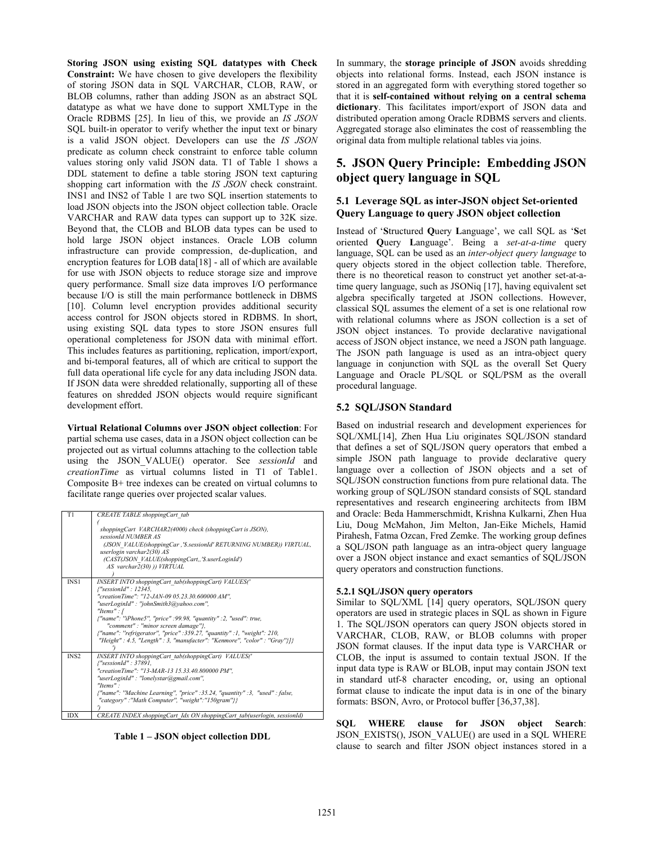**Storing JSON using existing SQL datatypes with Check Constraint:** We have chosen to give developers the flexibility of storing JSON data in SQL VARCHAR, CLOB, RAW, or BLOB columns, rather than adding JSON as an abstract SQL datatype as what we have done to support XMLType in the Oracle RDBMS [25]. In lieu of this, we provide an *IS JSON* SQL built-in operator to verify whether the input text or binary is a valid JSON object. Developers can use the *IS JSON* predicate as column check constraint to enforce table column values storing only valid JSON data. T1 of Table 1 shows a DDL statement to define a table storing JSON text capturing shopping cart information with the *IS JSON* check constraint. INS1 and INS2 of Table 1 are two SQL insertion statements to load JSON objects into the JSON object collection table. Oracle VARCHAR and RAW data types can support up to 32K size. Beyond that, the CLOB and BLOB data types can be used to hold large JSON object instances. Oracle LOB column infrastructure can provide compression, de-duplication, and encryption features for LOB data[18] - all of which are available for use with JSON objects to reduce storage size and improve query performance. Small size data improves I/O performance because I/O is still the main performance bottleneck in DBMS [10]. Column level encryption provides additional security access control for JSON objects stored in RDBMS. In short, using existing SQL data types to store JSON ensures full operational completeness for JSON data with minimal effort. This includes features as partitioning, replication, import/export, and bi-temporal features, all of which are critical to support the full data operational life cycle for any data including JSON data. If JSON data were shredded relationally, supporting all of these features on shredded JSON objects would require significant development effort.

**Virtual Relational Columns over JSON object collection**: For partial schema use cases, data in a JSON object collection can be projected out as virtual columns attaching to the collection table using the JSON\_VALUE() operator. See *sessionId* and *creationTime* as virtual columns listed in T1 of Table1. Composite B+ tree indexes can be created on virtual columns to facilitate range queries over projected scalar values.

| T1               | CREATE TABLE shoppingCart tab                                                 |
|------------------|-------------------------------------------------------------------------------|
|                  |                                                                               |
|                  | shoppingCart VARCHAR2(4000) check (shoppingCart is JSON).                     |
|                  | sessionId NUMBER AS                                                           |
|                  | (JSON VALUE(shoppingCar), '\$.sessionId' RETURNING NUMBER)) VIRTUAL,          |
|                  | userlogin varchar2(30) AS                                                     |
|                  | (CAST(JSON VALUE(shoppingCart,,'\$.userLoginId')                              |
|                  | AS varchar2(30) )) VIRTUAL                                                    |
|                  |                                                                               |
| INS1             | INSERT INTO shoppingCart tab(shoppingCart) VALUES('                           |
|                  | {"sessionId": 12345,                                                          |
|                  | "creationTime": "12-JAN-09 05.23.30.600000 AM",                               |
|                  | "userLoginId": "johnSmith3@yahoo.com",                                        |
|                  | "Items" : $\int$                                                              |
|                  | {"name": "iPhone5", "price" : 99.98, "quantity" : 2, "used": true,            |
|                  | "comment" : "minor screen damage"},                                           |
|                  | /"name": "refrigerator", "price" : 359.27, "quantity" : 1, "weight": 210,     |
|                  | "Height" : 4.5, "Length" : 3, "manufacter": "Kenmore", "color" : "Gray"}}}    |
|                  |                                                                               |
| INS <sub>2</sub> | INSERT INTO shoppingCart tab(shoppingCart) VALUES('                           |
|                  | {"sessionId" : 37891,                                                         |
|                  | "creationTime": "13-MAR-13 15.33.40.800000 PM".                               |
|                  | "userLoginId": ''lonelystar@gmail.com'',                                      |
|                  | "Items" :                                                                     |
|                  | {"name": "Machine Learning", "price" : 35.24, "quantity" : 3, "used" : false, |
|                  | "category":"Math Computer", "weight":"150gram"}}                              |
|                  |                                                                               |
| <b>IDX</b>       | CREATE INDEX shoppingCart Idx ON shoppingCart tab(userlogin, sessionId)       |
|                  |                                                                               |

**Table 1 – JSON object collection DDL** 

In summary, the **storage principle of JSON** avoids shredding objects into relational forms. Instead, each JSON instance is stored in an aggregated form with everything stored together so that it is **self-contained without relying on a central schema dictionary**. This facilitates import/export of JSON data and distributed operation among Oracle RDBMS servers and clients. Aggregated storage also eliminates the cost of reassembling the original data from multiple relational tables via joins.

# **5. JSON Query Principle: Embedding JSON object query language in SQL**

### **5.1 Leverage SQL as inter-JSON object Set-oriented Query Language to query JSON object collection**

Instead of '**S**tructured **Q**uery **L**anguage', we call SQL as '**S**et oriented **Q**uery **L**anguage'. Being a *set-at-a-time* query language, SQL can be used as an *inter-object query language* to query objects stored in the object collection table. Therefore, there is no theoretical reason to construct yet another set-at-atime query language, such as JSONiq [17], having equivalent set algebra specifically targeted at JSON collections. However, classical SQL assumes the element of a set is one relational row with relational columns where as JSON collection is a set of JSON object instances. To provide declarative navigational access of JSON object instance, we need a JSON path language. The JSON path language is used as an intra-object query language in conjunction with SQL as the overall Set Query Language and Oracle PL/SQL or SQL/PSM as the overall procedural language.

#### **5.2 SQL/JSON Standard**

Based on industrial research and development experiences for SQL/XML[14], Zhen Hua Liu originates SQL/JSON standard that defines a set of SQL/JSON query operators that embed a simple JSON path language to provide declarative query language over a collection of JSON objects and a set of SQL/JSON construction functions from pure relational data. The working group of SQL/JSON standard consists of SQL standard representatives and research engineering architects from IBM and Oracle: Beda Hammerschmidt, Krishna Kulkarni, Zhen Hua Liu, Doug McMahon, Jim Melton, Jan-Eike Michels, Hamid Pirahesh, Fatma Ozcan, Fred Zemke. The working group defines a SQL/JSON path language as an intra-object query language over a JSON object instance and exact semantics of SQL/JSON query operators and construction functions.

#### **5.2.1 SQL/JSON query operators**

Similar to SQL/XML [14] query operators, SQL/JSON query operators are used in strategic places in SQL as shown in Figure 1. The SQL/JSON operators can query JSON objects stored in VARCHAR, CLOB, RAW, or BLOB columns with proper JSON format clauses. If the input data type is VARCHAR or CLOB, the input is assumed to contain textual JSON. If the input data type is RAW or BLOB, input may contain JSON text in standard utf-8 character encoding, or, using an optional format clause to indicate the input data is in one of the binary formats: BSON, Avro, or Protocol buffer [36,37,38].

**SQL WHERE clause for JSON object Search**: JSON\_EXISTS(), JSON\_VALUE() are used in a SQL WHERE clause to search and filter JSON object instances stored in a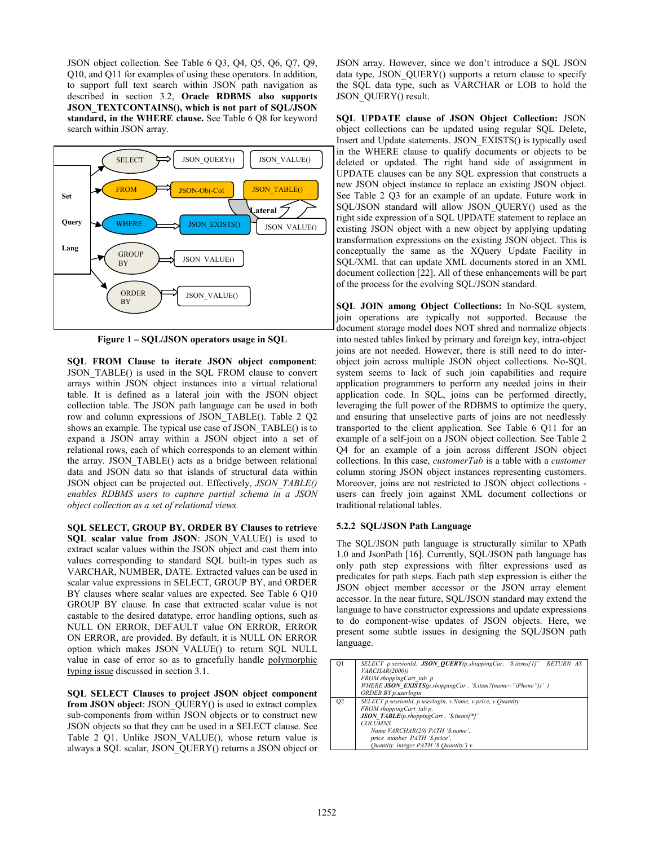JSON object collection. See Table 6 Q3, Q4, Q5, Q6, Q7, Q9, Q10, and Q11 for examples of using these operators. In addition, to support full text search within JSON path navigation as described in section 3.2, **Oracle RDBMS also supports JSON\_TEXTCONTAINS(), which is not part of SQL/JSON standard, in the WHERE clause.** See Table 6 Q8 for keyword search within JSON array.



**Figure 1 – SQL/JSON operators usage in SQL** 

**SQL FROM Clause to iterate JSON object component**: JSON\_TABLE() is used in the SQL FROM clause to convert arrays within JSON object instances into a virtual relational table. It is defined as a lateral join with the JSON object collection table. The JSON path language can be used in both row and column expressions of JSON\_TABLE(). Table 2 Q2 shows an example. The typical use case of JSON\_TABLE() is to expand a JSON array within a JSON object into a set of relational rows, each of which corresponds to an element within the array. JSON\_TABLE() acts as a bridge between relational data and JSON data so that islands of structural data within JSON object can be projected out. Effectively, *JSON\_TABLE() enables RDBMS users to capture partial schema in a JSON object collection as a set of relational views.*

**SQL SELECT, GROUP BY, ORDER BY Clauses to retrieve SQL scalar value from JSON**: JSON\_VALUE() is used to extract scalar values within the JSON object and cast them into values corresponding to standard SQL built-in types such as VARCHAR, NUMBER, DATE. Extracted values can be used in scalar value expressions in SELECT, GROUP BY, and ORDER BY clauses where scalar values are expected. See Table 6 Q10 GROUP BY clause. In case that extracted scalar value is not castable to the desired datatype, error handling options, such as NULL ON ERROR, DEFAULT value ON ERROR, ERROR ON ERROR, are provided. By default, it is NULL ON ERROR option which makes JSON\_VALUE() to return SQL NULL value in case of error so as to gracefully handle polymorphic typing issue discussed in section 3.1.

**SQL SELECT Clauses to project JSON object component from JSON object**: JSON\_QUERY() is used to extract complex sub-components from within JSON objects or to construct new JSON objects so that they can be used in a SELECT clause. See Table 2 Q1. Unlike JSON\_VALUE(), whose return value is always a SQL scalar, JSON\_QUERY() returns a JSON object or JSON array. However, since we don't introduce a SQL JSON data type, JSON\_QUERY() supports a return clause to specify the SQL data type, such as VARCHAR or LOB to hold the JSON\_QUERY() result.

**SQL UPDATE clause of JSON Object Collection:** JSON object collections can be updated using regular SQL Delete, Insert and Update statements. JSON\_EXISTS() is typically used in the WHERE clause to qualify documents or objects to be deleted or updated. The right hand side of assignment in UPDATE clauses can be any SQL expression that constructs a new JSON object instance to replace an existing JSON object. See Table 2 Q3 for an example of an update. Future work in SQL/JSON standard will allow JSON\_QUERY() used as the right side expression of a SQL UPDATE statement to replace an existing JSON object with a new object by applying updating transformation expressions on the existing JSON object. This is conceptually the same as the XQuery Update Facility in SQL/XML that can update XML documents stored in an XML document collection [22]. All of these enhancements will be part of the process for the evolving SQL/JSON standard.

**SQL JOIN among Object Collections:** In No-SQL system, join operations are typically not supported. Because the document storage model does NOT shred and normalize objects into nested tables linked by primary and foreign key, intra-object joins are not needed. However, there is still need to do interobject join across multiple JSON object collections. No-SQL system seems to lack of such join capabilities and require application programmers to perform any needed joins in their application code. In SQL, joins can be performed directly, leveraging the full power of the RDBMS to optimize the query, and ensuring that unselective parts of joins are not needlessly transported to the client application. See Table 6 Q11 for an example of a self-join on a JSON object collection. See Table 2 Q4 for an example of a join across different JSON object collections. In this case, *customerTab* is a table with a *customer* column storing JSON object instances representing customers. Moreover, joins are not restricted to JSON object collections users can freely join against XML document collections or traditional relational tables.

#### **5.2.2 SQL/JSON Path Language**

The SQL/JSON path language is structurally similar to XPath 1.0 and JsonPath [16]. Currently, SQL/JSON path language has only path step expressions with filter expressions used as predicates for path steps. Each path step expression is either the JSON object member accessor or the JSON array element accessor. In the near future, SQL/JSON standard may extend the language to have constructor expressions and update expressions to do component-wise updates of JSON objects. Here, we present some subtle issues in designing the SQL/JSON path language.

| O1             | SELECT p.sessionId, <b>JSON OUERY</b> (p.shoppingCar, '\$.items[1]' RETURN AS |
|----------------|-------------------------------------------------------------------------------|
|                | <i>VARCHAR(2000)</i> )<br>FROM shoppingCart tab p                             |
|                | WHERE JSON EXISTS(p.shoppingCar, '\$.item?(name="iPhone"))')                  |
|                | ORDER BY p.userlogin                                                          |
| O <sub>2</sub> | SELECT p.sessionId, p.userlogin, v.Name, v.price, v.Quantity                  |
|                | FROM shoppingCart tab p,                                                      |
|                | <b>JSON TABLE</b> (p.shoppingCart, '\$.items[*]'                              |
|                | <b>COLUMNS</b>                                                                |
|                | Name VARCHAR(20) PATH 'S.name',                                               |
|                | price number PATH '\$.price',                                                 |
|                | Ouantity integer PATH '\$. Ouantity') v                                       |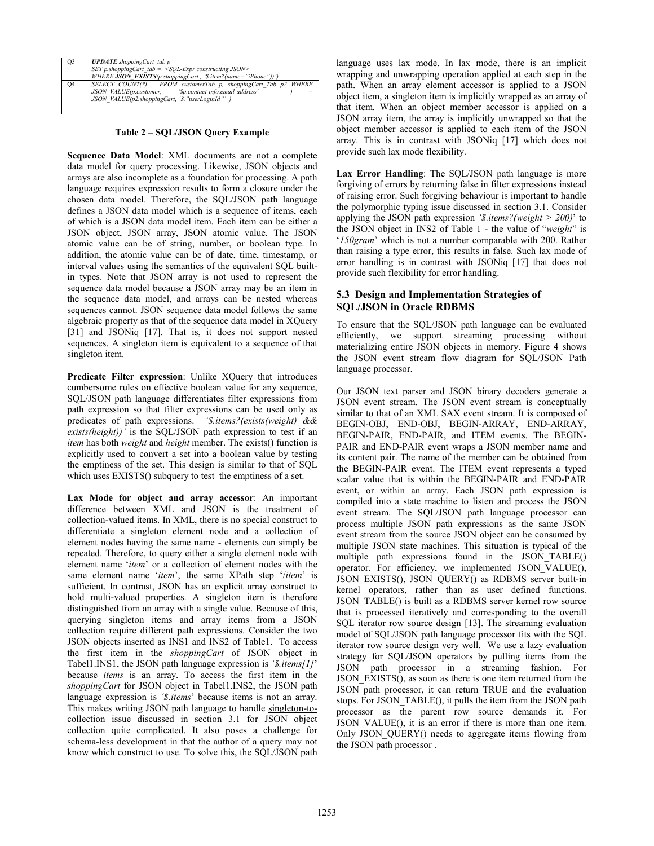| Q <sub>3</sub> | <b>UPDATE</b> shopping Cart tab $p$                                          |
|----------------|------------------------------------------------------------------------------|
|                | SET p.shoppingCart tab = $\langle \text{SOL-Expr}\rangle$ constructing JSON> |
|                | WHERE JSON EXISTS(p.shoppingCart, '\$.item?(name="iPhone"))')                |
| O4             | SELECT COUNT(*) FROM customerTab p, shoppingCart Tab p2 WHERE                |
|                | JSON VALUE(p.customer,<br>'Sp.contact-info.email-address'<br>$=$             |
|                | JSON VALUE(p2.shoppingCart, '\$."userLoginId"'                               |
|                |                                                                              |

#### **Table 2 – SQL/JSON Query Example**

**Sequence Data Model**: XML documents are not a complete data model for query processing. Likewise, JSON objects and arrays are also incomplete as a foundation for processing. A path language requires expression results to form a closure under the chosen data model. Therefore, the SQL/JSON path language defines a JSON data model which is a sequence of items, each of which is a JSON data model item. Each item can be either a JSON object, JSON array, JSON atomic value. The JSON atomic value can be of string, number, or boolean type. In addition, the atomic value can be of date, time, timestamp, or interval values using the semantics of the equivalent SQL builtin types. Note that JSON array is not used to represent the sequence data model because a JSON array may be an item in the sequence data model, and arrays can be nested whereas sequences cannot. JSON sequence data model follows the same algebraic property as that of the sequence data model in XQuery [31] and JSONiq [17]. That is, it does not support nested sequences. A singleton item is equivalent to a sequence of that singleton item.

**Predicate Filter expression**: Unlike XQuery that introduces cumbersome rules on effective boolean value for any sequence, SQL/JSON path language differentiates filter expressions from path expression so that filter expressions can be used only as predicates of path expressions. *'\$.items?(exists(weight) && exists(height))'* is the SQL/JSON path expression to test if an *item* has both *weight* and *height* member. The exists() function is explicitly used to convert a set into a boolean value by testing the emptiness of the set. This design is similar to that of SQL which uses EXISTS() subquery to test the emptiness of a set.

**Lax Mode for object and array accessor**: An important difference between XML and JSON is the treatment of collection-valued items. In XML, there is no special construct to differentiate a singleton element node and a collection of element nodes having the same name - elements can simply be repeated. Therefore, to query either a single element node with element name '*item*' or a collection of element nodes with the same element name '*item*', the same XPath step '/*item*' is sufficient. In contrast, JSON has an explicit array construct to hold multi-valued properties. A singleton item is therefore distinguished from an array with a single value. Because of this, querying singleton items and array items from a JSON collection require different path expressions. Consider the two JSON objects inserted as INS1 and INS2 of Table1. To access the first item in the *shoppingCart* of JSON object in Tabel1.INS1, the JSON path language expression is *'\$.items[1]*' because *items* is an array. To access the first item in the *shoppingCart* for JSON object in Tabel1.INS2, the JSON path language expression is *'\$.items*' because items is not an array. This makes writing JSON path language to handle singleton-tocollection issue discussed in section 3.1 for JSON object collection quite complicated. It also poses a challenge for schema-less development in that the author of a query may not know which construct to use. To solve this, the SQL/JSON path

language uses lax mode. In lax mode, there is an implicit wrapping and unwrapping operation applied at each step in the path. When an array element accessor is applied to a JSON object item, a singleton item is implicitly wrapped as an array of that item. When an object member accessor is applied on a JSON array item, the array is implicitly unwrapped so that the object member accessor is applied to each item of the JSON array. This is in contrast with JSONiq [17] which does not provide such lax mode flexibility.

**Lax Error Handling**: The SQL/JSON path language is more forgiving of errors by returning false in filter expressions instead of raising error. Such forgiving behaviour is important to handle the polymorphic typing issue discussed in section 3.1. Consider applying the JSON path expression *'\$.items?(weight > 200)*' to the JSON object in INS2 of Table 1 - the value of "*weight*" is '*150gram*' which is not a number comparable with 200. Rather than raising a type error, this results in false. Such lax mode of error handling is in contrast with JSONiq [17] that does not provide such flexibility for error handling.

#### **5.3 Design and Implementation Strategies of SQL/JSON in Oracle RDBMS**

To ensure that the SQL/JSON path language can be evaluated efficiently, we support streaming processing without materializing entire JSON objects in memory. Figure 4 shows the JSON event stream flow diagram for SQL/JSON Path language processor.

Our JSON text parser and JSON binary decoders generate a JSON event stream. The JSON event stream is conceptually similar to that of an XML SAX event stream. It is composed of BEGIN-OBJ, END-OBJ, BEGIN-ARRAY, END-ARRAY, BEGIN-PAIR, END-PAIR, and ITEM events. The BEGIN-PAIR and END-PAIR event wraps a JSON member name and its content pair. The name of the member can be obtained from the BEGIN-PAIR event. The ITEM event represents a typed scalar value that is within the BEGIN-PAIR and END-PAIR event, or within an array. Each JSON path expression is compiled into a state machine to listen and process the JSON event stream. The SQL/JSON path language processor can process multiple JSON path expressions as the same JSON event stream from the source JSON object can be consumed by multiple JSON state machines. This situation is typical of the multiple path expressions found in the JSON\_TABLE() operator. For efficiency, we implemented JSON\_VALUE(), JSON\_EXISTS(), JSON\_QUERY() as RDBMS server built-in kernel operators, rather than as user defined functions. JSON\_TABLE() is built as a RDBMS server kernel row source that is processed iteratively and corresponding to the overall SQL iterator row source design [13]. The streaming evaluation model of SQL/JSON path language processor fits with the SQL iterator row source design very well. We use a lazy evaluation strategy for SQL/JSON operators by pulling items from the JSON path processor in a streaming fashion. For JSON\_EXISTS(), as soon as there is one item returned from the JSON path processor, it can return TRUE and the evaluation stops. For JSON\_TABLE(), it pulls the item from the JSON path processor as the parent row source demands it. For JSON VALUE(), it is an error if there is more than one item. Only JSON QUERY() needs to aggregate items flowing from the JSON path processor .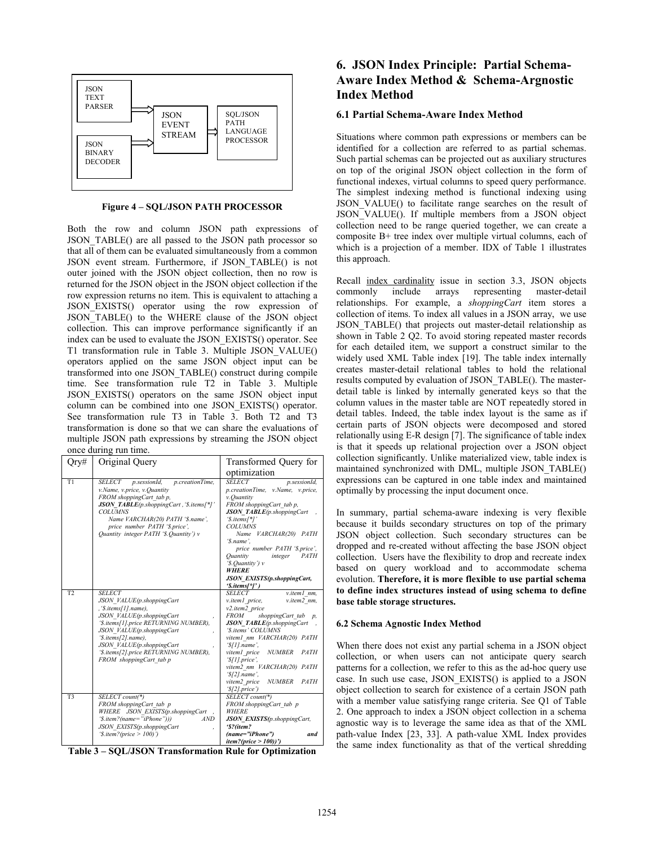

**Figure 4 – SQL/JSON PATH PROCESSOR** 

Both the row and column JSON path expressions of JSON TABLE() are all passed to the JSON path processor so that all of them can be evaluated simultaneously from a common JSON event stream. Furthermore, if JSON\_TABLE() is not outer joined with the JSON object collection, then no row is returned for the JSON object in the JSON object collection if the row expression returns no item. This is equivalent to attaching a JSON EXISTS() operator using the row expression of JSON\_TABLE() to the WHERE clause of the JSON object collection. This can improve performance significantly if an index can be used to evaluate the JSON\_EXISTS() operator. See T1 transformation rule in Table 3. Multiple JSON\_VALUE() operators applied on the same JSON object input can be transformed into one JSON\_TABLE() construct during compile time. See transformation rule T2 in Table 3. Multiple JSON\_EXISTS() operators on the same JSON object input column can be combined into one JSON EXISTS() operator. See transformation rule T3 in Table 3. Both T2 and T3 transformation is done so that we can share the evaluations of multiple JSON path expressions by streaming the JSON object once during run time.

| $\overline{\text{true}}$ and $\overline{\text{min}}$<br>Qry# | run univ.<br>Original Query                                                                                                                                                                                                                                                                           | Transformed Query for                                                                                                                                                                                                                                                                                                                                                                                                                     |
|--------------------------------------------------------------|-------------------------------------------------------------------------------------------------------------------------------------------------------------------------------------------------------------------------------------------------------------------------------------------------------|-------------------------------------------------------------------------------------------------------------------------------------------------------------------------------------------------------------------------------------------------------------------------------------------------------------------------------------------------------------------------------------------------------------------------------------------|
|                                                              |                                                                                                                                                                                                                                                                                                       | optimization                                                                                                                                                                                                                                                                                                                                                                                                                              |
| T1                                                           | p.creationTime,<br><b>SELECT</b><br>p.sessionId,<br>v.Name, v.price, v.Ouantity<br>FROM shoppingCart tab p,<br>JSON TABLE(p.shoppingCart, '\$.items[*]'<br><b>COLUMNS</b><br>Name VARCHAR(20) PATH '\$.name',<br>price number PATH '\$.price'.<br>Ouantity integer PATH '\$. Ouantity') v             | <b>SELECT</b><br>p.sessionId.<br>p.creationTime, v.Name, v.price,<br>v.Ouantity<br>FROM shoppingCart tab p,<br><b>JSON TABLE</b> (p.shoppingCart<br>$\S$ .items[*]'<br><b>COLUMNS</b><br>Name VARCHAR(20) PATH<br>$'s$ . name'.<br>price number PATH '\$.price'.<br>Ouantity<br>PATH<br>integer<br>'S. Quantity') v<br><b>WHERE</b><br>JSON EXISTS(p.shoppingCart,                                                                        |
| T <sub>2</sub>                                               | <b>SELECT</b><br>JSON VALUE(p.shoppingCart<br>: '\$.items[1].name).<br>JSON VALUE(p.shoppingCart<br>'\$.items[1].price RETURNING NUMBER),<br>JSON VALUE(p.shoppingCart<br>×<br>$'s$ .items[2].name).<br>JSON VALUE(p.shoppingCart<br>'\$.items[2].price RETURNING NUMBER),<br>FROM shoppingCart tab p | 'S.items[ $^*$ ]')<br>v.item1 nm.<br><b>SELECT</b><br>v.item1 price,<br>v.item2 nm.<br>v2.item2 price<br><i>FROM</i><br>shoppingCart tab p,<br><b>JSON TABLE</b> (p.shoppingCart<br>'S.items' COLUMNS<br>vitem1 nm VARCHAR(20) PATH<br>$\S[1]$ .name',<br>PATH<br>vitem1 price<br><b>NUMBER</b><br>$$[1]$ .price',<br>vitem2 nm VARCHAR(20) PATH<br>$\S$ [2] name',<br>vitem2 price<br><b>NUMBER</b><br>PATH<br>$\frac{1}{2}$ [2].price') |
| T <sub>3</sub>                                               | SELECT count(*)<br>FROM shoppingCart tab p<br>WHERE JSON EXISTS(p.shoppingCart<br>$(S.item?(name="iPhone"))$<br><b>AND</b><br>JSON EXISTS(p.shoppingCart<br>'\$.item?(price > $100$ )')                                                                                                               | SELECT count(*)<br>FROM shoppingCart tab p<br><b>WHERE</b><br>JSON EXISTS(p.shoppingCart,<br>'\$?(item?<br>(name="iPhone")<br>and<br>item?(price > $100$ ))')                                                                                                                                                                                                                                                                             |

**Table 3 – SQL/JSON Transformation Rule for Optimization** 

# **6. JSON Index Principle: Partial Schema-Aware Index Method & Schema-Argnostic Index Method**

#### **6.1 Partial Schema-Aware Index Method**

Situations where common path expressions or members can be identified for a collection are referred to as partial schemas. Such partial schemas can be projected out as auxiliary structures on top of the original JSON object collection in the form of functional indexes, virtual columns to speed query performance. The simplest indexing method is functional indexing using JSON\_VALUE() to facilitate range searches on the result of JSON\_VALUE(). If multiple members from a JSON object collection need to be range queried together, we can create a composite B+ tree index over multiple virtual columns, each of which is a projection of a member. IDX of Table 1 illustrates this approach.

Recall <u>index cardinality</u> issue in section 3.3, JSON objects<br>commonly include arrays representing master-detail include arrays representing master-detail relationships. For example, a *shoppingCart* item stores a collection of items. To index all values in a JSON array, we use JSON TABLE() that projects out master-detail relationship as shown in Table 2 Q2. To avoid storing repeated master records for each detailed item, we support a construct similar to the widely used XML Table index [19]. The table index internally creates master-detail relational tables to hold the relational results computed by evaluation of JSON\_TABLE(). The masterdetail table is linked by internally generated keys so that the column values in the master table are NOT repeatedly stored in detail tables. Indeed, the table index layout is the same as if certain parts of JSON objects were decomposed and stored relationally using E-R design [7]. The significance of table index is that it speeds up relational projection over a JSON object collection significantly. Unlike materialized view, table index is maintained synchronized with DML, multiple JSON\_TABLE() expressions can be captured in one table index and maintained optimally by processing the input document once.

In summary, partial schema-aware indexing is very flexible because it builds secondary structures on top of the primary JSON object collection. Such secondary structures can be dropped and re-created without affecting the base JSON object collection. Users have the flexibility to drop and recreate index based on query workload and to accommodate schema evolution. **Therefore, it is more flexible to use partial schema to define index structures instead of using schema to define base table storage structures.**

#### **6.2 Schema Agnostic Index Method**

When there does not exist any partial schema in a JSON object collection, or when users can not anticipate query search patterns for a collection, we refer to this as the ad-hoc query use case. In such use case, JSON\_EXISTS() is applied to a JSON object collection to search for existence of a certain JSON path with a member value satisfying range criteria. See Q1 of Table 2. One approach to index a JSON object collection in a schema agnostic way is to leverage the same idea as that of the XML path-value Index [23, 33]. A path-value XML Index provides the same index functionality as that of the vertical shredding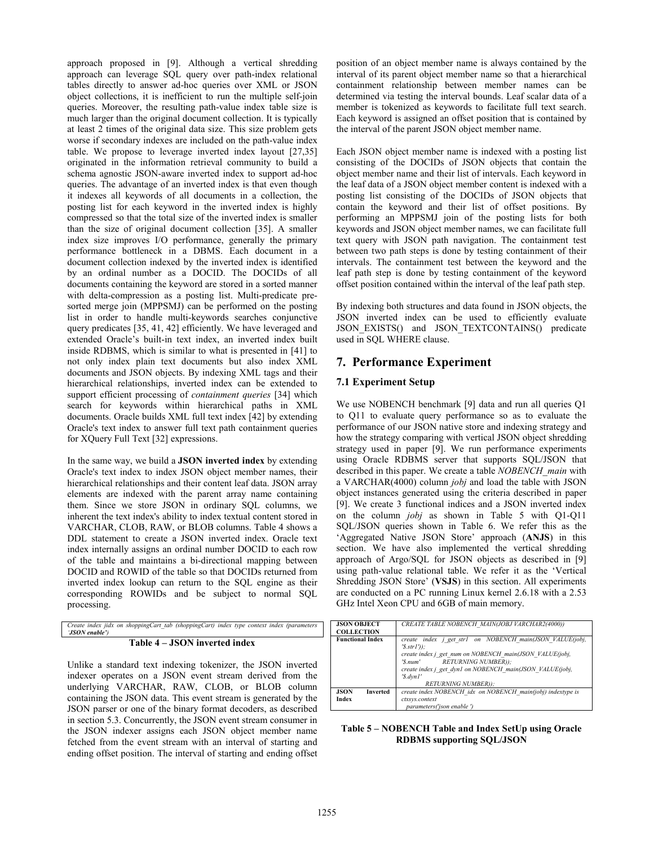approach proposed in [9]. Although a vertical shredding approach can leverage SQL query over path-index relational tables directly to answer ad-hoc queries over XML or JSON object collections, it is inefficient to run the multiple self-join queries. Moreover, the resulting path-value index table size is much larger than the original document collection. It is typically at least 2 times of the original data size. This size problem gets worse if secondary indexes are included on the path-value index table. We propose to leverage inverted index layout [27,35] originated in the information retrieval community to build a schema agnostic JSON-aware inverted index to support ad-hoc queries. The advantage of an inverted index is that even though it indexes all keywords of all documents in a collection, the posting list for each keyword in the inverted index is highly compressed so that the total size of the inverted index is smaller than the size of original document collection [35]. A smaller index size improves I/O performance, generally the primary performance bottleneck in a DBMS. Each document in a document collection indexed by the inverted index is identified by an ordinal number as a DOCID. The DOCIDs of all documents containing the keyword are stored in a sorted manner with delta-compression as a posting list. Multi-predicate presorted merge join (MPPSMJ) can be performed on the posting list in order to handle multi-keywords searches conjunctive query predicates [35, 41, 42] efficiently. We have leveraged and extended Oracle's built-in text index, an inverted index built inside RDBMS, which is similar to what is presented in [41] to not only index plain text documents but also index XML documents and JSON objects. By indexing XML tags and their hierarchical relationships, inverted index can be extended to support efficient processing of *containment queries* [34] which search for keywords within hierarchical paths in XML documents. Oracle builds XML full text index [42] by extending Oracle's text index to answer full text path containment queries for XQuery Full Text [32] expressions.

In the same way, we build a **JSON inverted index** by extending Oracle's text index to index JSON object member names, their hierarchical relationships and their content leaf data. JSON array elements are indexed with the parent array name containing them. Since we store JSON in ordinary SQL columns, we inherent the text index's ability to index textual content stored in VARCHAR, CLOB, RAW, or BLOB columns. Table 4 shows a DDL statement to create a JSON inverted index. Oracle text index internally assigns an ordinal number DOCID to each row of the table and maintains a bi-directional mapping between DOCID and ROWID of the table so that DOCIDs returned from inverted index lookup can return to the SQL engine as their corresponding ROWIDs and be subject to normal SQL processing.

|                               | Create index jidx on shoppingCart tab (shoppingCart) index type context index (parameters |  |  |  |  |
|-------------------------------|-------------------------------------------------------------------------------------------|--|--|--|--|
| 'JSON enable')                |                                                                                           |  |  |  |  |
| Table 4 – JSON inverted index |                                                                                           |  |  |  |  |
|                               |                                                                                           |  |  |  |  |

Unlike a standard text indexing tokenizer, the JSON inverted indexer operates on a JSON event stream derived from the underlying VARCHAR, RAW, CLOB, or BLOB column containing the JSON data. This event stream is generated by the JSON parser or one of the binary format decoders, as described in section 5.3. Concurrently, the JSON event stream consumer in the JSON indexer assigns each JSON object member name fetched from the event stream with an interval of starting and ending offset position. The interval of starting and ending offset position of an object member name is always contained by the interval of its parent object member name so that a hierarchical containment relationship between member names can be determined via testing the interval bounds. Leaf scalar data of a member is tokenized as keywords to facilitate full text search. Each keyword is assigned an offset position that is contained by the interval of the parent JSON object member name.

Each JSON object member name is indexed with a posting list consisting of the DOCIDs of JSON objects that contain the object member name and their list of intervals. Each keyword in the leaf data of a JSON object member content is indexed with a posting list consisting of the DOCIDs of JSON objects that contain the keyword and their list of offset positions. By performing an MPPSMJ join of the posting lists for both keywords and JSON object member names, we can facilitate full text query with JSON path navigation. The containment test between two path steps is done by testing containment of their intervals. The containment test between the keyword and the leaf path step is done by testing containment of the keyword offset position contained within the interval of the leaf path step.

By indexing both structures and data found in JSON objects, the JSON inverted index can be used to efficiently evaluate JSON EXISTS() and JSON TEXTCONTAINS() predicate used in SQL WHERE clause.

# **7. Performance Experiment**

### **7.1 Experiment Setup**

We use NOBENCH benchmark [9] data and run all queries Q1 to Q11 to evaluate query performance so as to evaluate the performance of our JSON native store and indexing strategy and how the strategy comparing with vertical JSON object shredding strategy used in paper [9]. We run performance experiments using Oracle RDBMS server that supports SQL/JSON that described in this paper. We create a table *NOBENCH\_main* with a VARCHAR(4000) column *jobj* and load the table with JSON object instances generated using the criteria described in paper [9]. We create 3 functional indices and a JSON inverted index on the column *jobj* as shown in Table 5 with Q1-Q11 SQL/JSON queries shown in Table 6. We refer this as the 'Aggregated Native JSON Store' approach (**ANJS**) in this section. We have also implemented the vertical shredding approach of Argo/SQL for JSON objects as described in [9] using path-value relational table. We refer it as the 'Vertical Shredding JSON Store' (**VSJS**) in this section. All experiments are conducted on a PC running Linux kernel 2.6.18 with a 2.53 GHz Intel Xeon CPU and 6GB of main memory.

| <b>JSON OBJECT</b>             | CREATE TABLE NOBENCH MAIN(JOBJ VARCHAR2(4000))                  |
|--------------------------------|-----------------------------------------------------------------|
| <b>COLLECTION</b>              |                                                                 |
| <b>Functional Index</b>        | create index <i>i</i> get strl on NOBENCH main(JSON VALUE(jobj, |
|                                | $'s_strI$ :                                                     |
|                                | create index j get num on NOBENCH main(JSON VALUE(jobj,         |
|                                | 'S.num' RETURNING NUMBER));                                     |
|                                | create index j get dynl on NOBENCH main(JSON VALUE(jobj,        |
|                                | 's.dvnI'                                                        |
|                                | RETURNING NUMBER));                                             |
| <b>JSON</b><br><b>Inverted</b> | create index NOBENCH idx on NOBENCH main(jobj) indextype is     |
| Index                          | ctxsys.context                                                  |
|                                | parameters('ison enable ')                                      |

#### **Table 5 – NOBENCH Table and Index SetUp using Oracle RDBMS supporting SQL/JSON**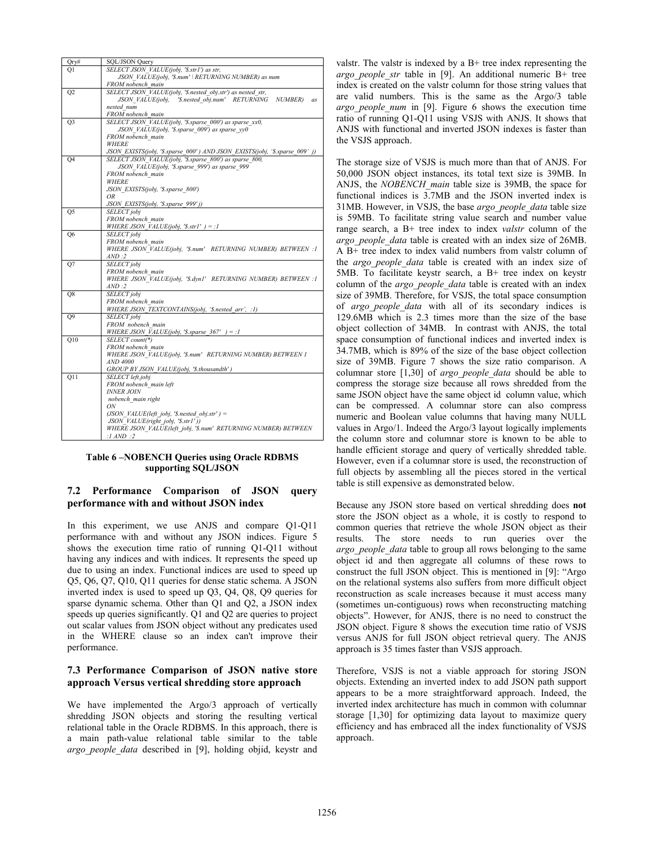| Qry#           | SQL/JSON Query                                                              |
|----------------|-----------------------------------------------------------------------------|
| O1             | SELECT JSON VALUE(jobj. '\$.str1') as str.                                  |
|                | JSON VALUE(jobj, '\$.num' \ RETURNING NUMBER) as num                        |
|                | FROM nobench main                                                           |
| O <sub>2</sub> | SELECT JSON VALUE(jobj. '\$.nested obj.str') as nested str,                 |
|                | JSON VALUE(jobj, '\$.nested obj.num' RETURNING<br><i>NUMBER)</i><br>as      |
|                | nested num                                                                  |
|                | FROM nobench main                                                           |
| O <sub>3</sub> | SELECT JSON VALUE(jobj, '\$.sparse 000') as sparse xx0,                     |
|                | JSON VALUE(jobj, '\$.sparse 009') as sparse yy0                             |
|                | FROM nobench main                                                           |
|                | <b>WHERE</b>                                                                |
|                | JSON_EXISTS(jobj, '\$.sparse_000') AND JSON_EXISTS(jobj, '\$.sparse_009' j) |
| O <sub>4</sub> | SELECT JSON VALUE(jobj. '\$.sparse 800') as sparse 800.                     |
|                | JSON VALUE(jobj, '\$.sparse 999') as sparse 999                             |
|                | FROM nobench main                                                           |
|                | <b>WHERE</b>                                                                |
|                | JSON EXISTS(jobj, '\$.sparse 800')                                          |
|                | OR                                                                          |
|                | JSON EXISTS(jobj, '\$.sparse 999' j)                                        |
| O <sub>5</sub> | SELECT jobj                                                                 |
|                | FROM nobench main                                                           |
|                | WHERE JSON VALUE(jobj, '\$.str1' ) = :1                                     |
| Q6             | SELECT jobj                                                                 |
|                | FROM nobench main                                                           |
|                | WHERE JSON VALUE(jobj, '\$.num' RETURNING NUMBER) BETWEEN :1                |
|                | AND:2                                                                       |
| O <sub>7</sub> | SELECT jobj                                                                 |
|                | FROM nobench main                                                           |
|                | WHERE JSON VALUE(jobj, '\$.dyn1' RETURNING NUMBER) BETWEEN :1               |
|                | AND:2                                                                       |
| Q8             | SELECT jobj                                                                 |
|                | FROM nobench main                                                           |
|                | WHERE JSON TEXTCONTAINS(jobj, '\$.nested arr', :1)                          |
| O <sub>9</sub> | SELECT jobj                                                                 |
|                | FROM nobench main                                                           |
|                | WHERE JSON VALUE(jobj, '\$.sparse 367' ) = :1                               |
| Q10            | SELECT count(*)                                                             |
|                | FROM nobench main                                                           |
|                | WHERE JSON VALUE(jobj, '\$.num' RETURNING NUMBER) BETWEEN I                 |
|                | AND 4000                                                                    |
|                | GROUP BY JSON VALUE(jobj, '\$.thousandth')                                  |
| Q11            | SELECT left.jobj                                                            |
|                | FROM nobench main left                                                      |
|                | <b>INNER JOIN</b>                                                           |
|                | nobench main right                                                          |
|                | ON                                                                          |
|                | (JSON VALUE(left jobj, '\$.nested obj.str') =                               |
|                | JSON VALUE(right jobj, '\$.str1'))                                          |
|                | WHERE JSON VALUE(left jobj, '\$.num' RETURNING NUMBER) BETWEEN              |
|                | :1 AND :2                                                                   |

#### **Table 6 –NOBENCH Queries using Oracle RDBMS supporting SQL/JSON**

#### **7.2 Performance Comparison of JSON query performance with and without JSON index**

In this experiment, we use ANJS and compare Q1-Q11 performance with and without any JSON indices. Figure 5 shows the execution time ratio of running Q1-Q11 without having any indices and with indices. It represents the speed up due to using an index. Functional indices are used to speed up Q5, Q6, Q7, Q10, Q11 queries for dense static schema. A JSON inverted index is used to speed up Q3, Q4, Q8, Q9 queries for sparse dynamic schema. Other than Q1 and Q2, a JSON index speeds up queries significantly. Q1 and Q2 are queries to project out scalar values from JSON object without any predicates used in the WHERE clause so an index can't improve their performance.

#### **7.3 Performance Comparison of JSON native store approach Versus vertical shredding store approach**

We have implemented the Argo/3 approach of vertically shredding JSON objects and storing the resulting vertical relational table in the Oracle RDBMS. In this approach, there is a main path-value relational table similar to the table *argo\_people\_data* described in [9], holding objid, keystr and valstr. The valstr is indexed by a B+ tree index representing the *argo\_people\_str* table in [9]. An additional numeric B+ tree index is created on the valstr column for those string values that are valid numbers. This is the same as the Argo/3 table *argo\_people\_num* in [9]. Figure 6 shows the execution time ratio of running Q1-Q11 using VSJS with ANJS. It shows that ANJS with functional and inverted JSON indexes is faster than the VSJS approach.

The storage size of VSJS is much more than that of ANJS. For 50,000 JSON object instances, its total text size is 39MB. In ANJS, the *NOBENCH\_main* table size is 39MB, the space for functional indices is 3.7MB and the JSON inverted index is 31MB. However, in VSJS, the base *argo\_people\_data* table size is 59MB. To facilitate string value search and number value range search, a B+ tree index to index *valstr* column of the *argo\_people\_data* table is created with an index size of 26MB. A B+ tree index to index valid numbers from valstr column of the *argo\_people\_data* table is created with an index size of 5MB. To facilitate keystr search, a B+ tree index on keystr column of the *argo\_people\_data* table is created with an index size of 39MB. Therefore, for VSJS, the total space consumption of *argo\_people\_data* with all of its secondary indices is 129.6MB which is 2.3 times more than the size of the base object collection of 34MB. In contrast with ANJS, the total space consumption of functional indices and inverted index is 34.7MB, which is 89% of the size of the base object collection size of 39MB. Figure 7 shows the size ratio comparison. A columnar store [1,30] of *argo\_people\_data* should be able to compress the storage size because all rows shredded from the same JSON object have the same object id column value, which can be compressed. A columnar store can also compress numeric and Boolean value columns that having many NULL values in Argo/1. Indeed the Argo/3 layout logically implements the column store and columnar store is known to be able to handle efficient storage and query of vertically shredded table. However, even if a columnar store is used, the reconstruction of full objects by assembling all the pieces stored in the vertical table is still expensive as demonstrated below.

Because any JSON store based on vertical shredding does **not** store the JSON object as a whole, it is costly to respond to common queries that retrieve the whole JSON object as their results. The store needs to run queries over the *argo\_people\_data* table to group all rows belonging to the same object id and then aggregate all columns of these rows to construct the full JSON object. This is mentioned in [9]: "Argo on the relational systems also suffers from more difficult object reconstruction as scale increases because it must access many (sometimes un-contiguous) rows when reconstructing matching objects". However, for ANJS, there is no need to construct the JSON object. Figure 8 shows the execution time ratio of VSJS versus ANJS for full JSON object retrieval query. The ANJS approach is 35 times faster than VSJS approach.

Therefore, VSJS is not a viable approach for storing JSON objects. Extending an inverted index to add JSON path support appears to be a more straightforward approach. Indeed, the inverted index architecture has much in common with columnar storage [1,30] for optimizing data layout to maximize query efficiency and has embraced all the index functionality of VSJS approach.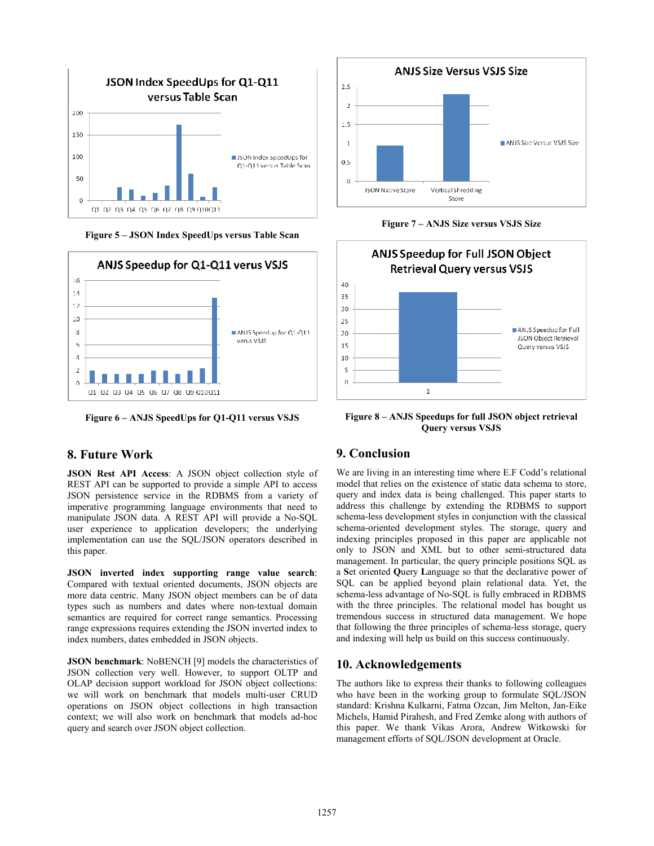

**Figure 5 – JSON Index SpeedUps versus Table Scan** 



**Figure 6 – ANJS SpeedUps for Q1-Q11 versus VSJS** 

## **8. Future Work**

**JSON Rest API Access**: A JSON object collection style of REST API can be supported to provide a simple API to access JSON persistence service in the RDBMS from a variety of imperative programming language environments that need to manipulate JSON data. A REST API will provide a No-SQL user experience to application developers; the underlying implementation can use the SQL/JSON operators described in this paper.

**JSON inverted index supporting range value search**: Compared with textual oriented documents, JSON objects are more data centric. Many JSON object members can be of data types such as numbers and dates where non-textual domain semantics are required for correct range semantics. Processing range expressions requires extending the JSON inverted index to index numbers, dates embedded in JSON objects.

**JSON benchmark**: NoBENCH [9] models the characteristics of JSON collection very well. However, to support OLTP and OLAP decision support workload for JSON object collections: we will work on benchmark that models multi-user CRUD operations on JSON object collections in high transaction context; we will also work on benchmark that models ad-hoc query and search over JSON object collection.



**Figure 7 – ANJS Size versus VSJS Size** 



**Figure 8 – ANJS Speedups for full JSON object retrieval Query versus VSJS** 

## **9. Conclusion**

We are living in an interesting time where E.F Codd's relational model that relies on the existence of static data schema to store, query and index data is being challenged. This paper starts to address this challenge by extending the RDBMS to support schema-less development styles in conjunction with the classical schema-oriented development styles. The storage, query and indexing principles proposed in this paper are applicable not only to JSON and XML but to other semi-structured data management. In particular, the query principle positions SQL as a **S**et oriented **Q**uery **L**anguage so that the declarative power of SQL can be applied beyond plain relational data. Yet, the schema-less advantage of No-SQL is fully embraced in RDBMS with the three principles. The relational model has bought us tremendous success in structured data management. We hope that following the three principles of schema-less storage, query and indexing will help us build on this success continuously.

## **10. Acknowledgements**

The authors like to express their thanks to following colleagues who have been in the working group to formulate SQL/JSON standard: Krishna Kulkarni, Fatma Ozcan, Jim Melton, Jan-Eike Michels, Hamid Pirahesh, and Fred Zemke along with authors of this paper. We thank Vikas Arora, Andrew Witkowski for management efforts of SQL/JSON development at Oracle.